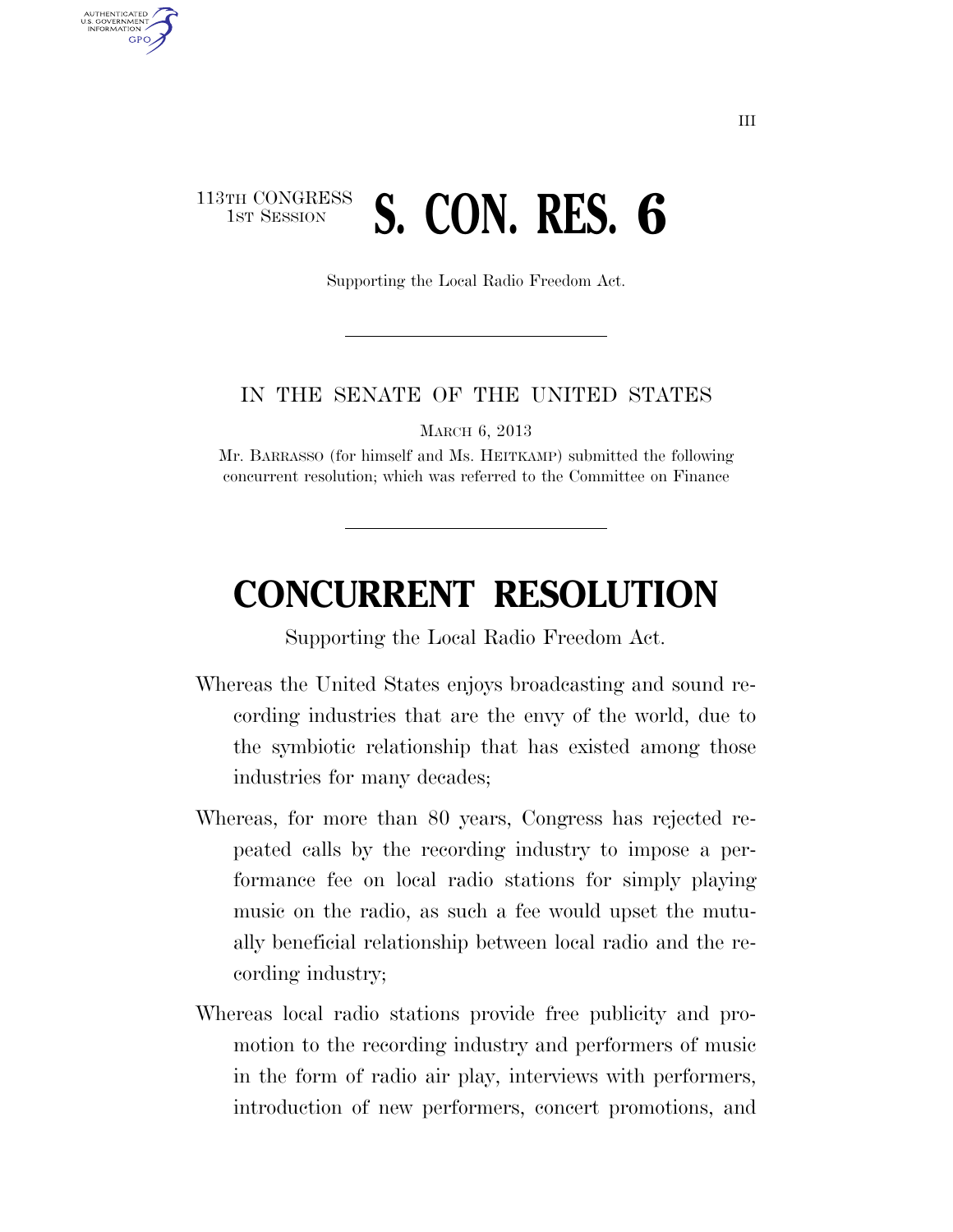## 113TH CONGRESS **1ST SESSION S. CON. RES. 6**

U.S. GOVERNMENT **GPO** 

Supporting the Local Radio Freedom Act.

## IN THE SENATE OF THE UNITED STATES

MARCH 6, 2013

Mr. BARRASSO (for himself and Ms. HEITKAMP) submitted the following concurrent resolution; which was referred to the Committee on Finance

## **CONCURRENT RESOLUTION**

Supporting the Local Radio Freedom Act.

- Whereas the United States enjoys broadcasting and sound recording industries that are the envy of the world, due to the symbiotic relationship that has existed among those industries for many decades;
- Whereas, for more than 80 years, Congress has rejected repeated calls by the recording industry to impose a performance fee on local radio stations for simply playing music on the radio, as such a fee would upset the mutually beneficial relationship between local radio and the recording industry;
- Whereas local radio stations provide free publicity and promotion to the recording industry and performers of music in the form of radio air play, interviews with performers, introduction of new performers, concert promotions, and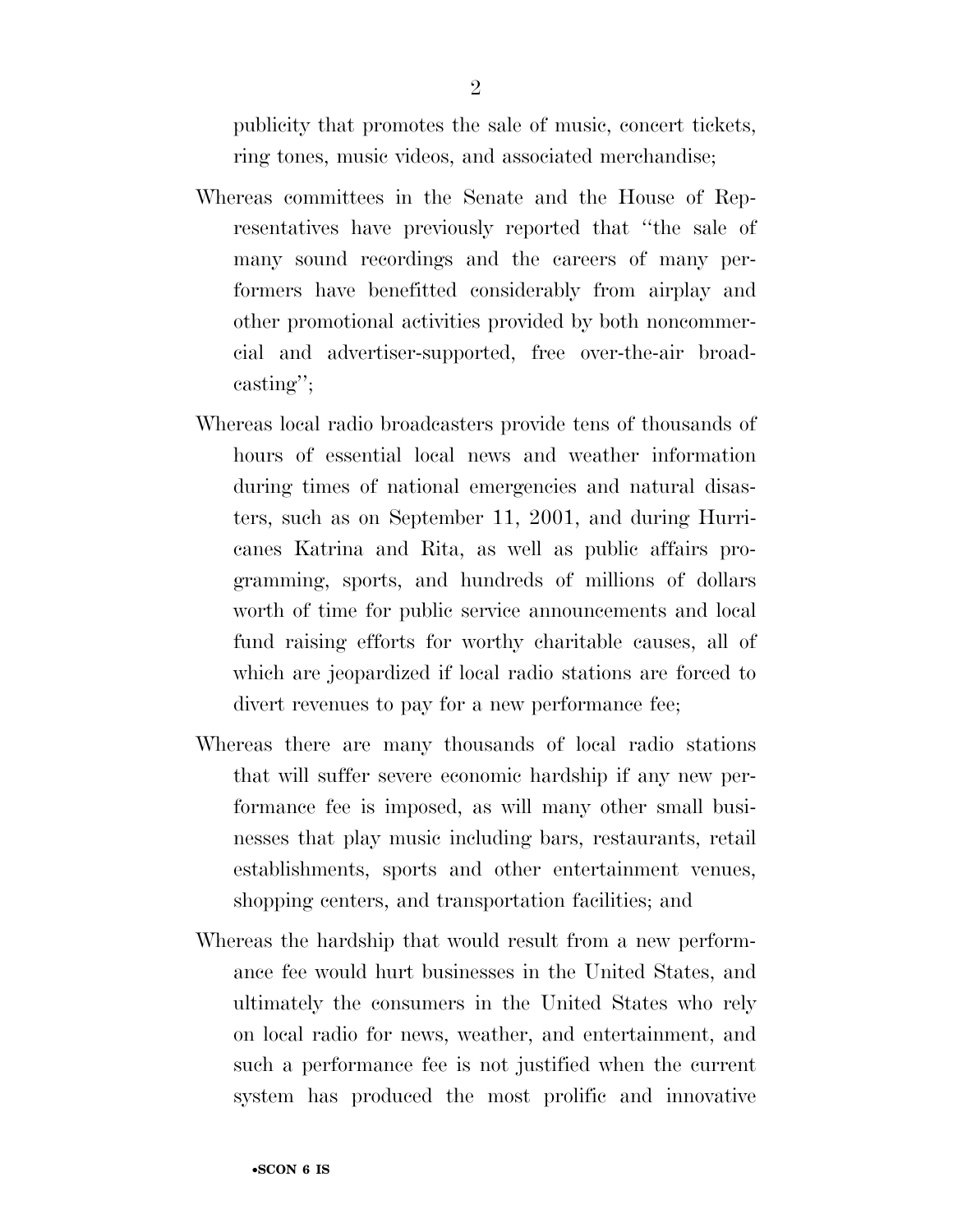publicity that promotes the sale of music, concert tickets, ring tones, music videos, and associated merchandise;

- Whereas committees in the Senate and the House of Representatives have previously reported that ''the sale of many sound recordings and the careers of many performers have benefitted considerably from airplay and other promotional activities provided by both noncommercial and advertiser-supported, free over-the-air broadcasting'';
- Whereas local radio broadcasters provide tens of thousands of hours of essential local news and weather information during times of national emergencies and natural disasters, such as on September 11, 2001, and during Hurricanes Katrina and Rita, as well as public affairs programming, sports, and hundreds of millions of dollars worth of time for public service announcements and local fund raising efforts for worthy charitable causes, all of which are jeopardized if local radio stations are forced to divert revenues to pay for a new performance fee;
- Whereas there are many thousands of local radio stations that will suffer severe economic hardship if any new performance fee is imposed, as will many other small businesses that play music including bars, restaurants, retail establishments, sports and other entertainment venues, shopping centers, and transportation facilities; and
- Whereas the hardship that would result from a new performance fee would hurt businesses in the United States, and ultimately the consumers in the United States who rely on local radio for news, weather, and entertainment, and such a performance fee is not justified when the current system has produced the most prolific and innovative